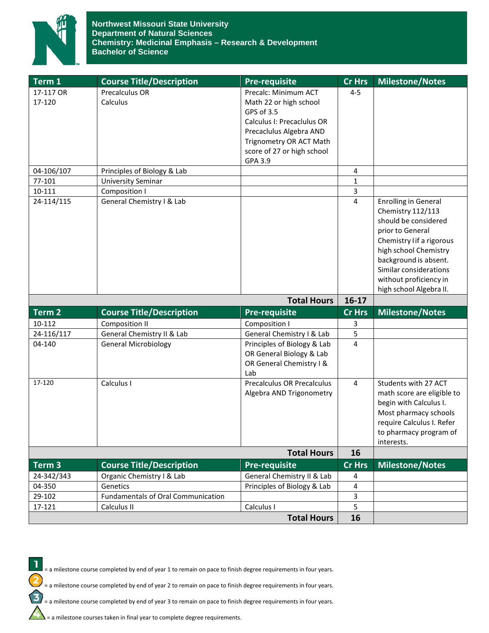

**Northwest Missouri State University Department of Natural Sciences Chemistry: Medicinal Emphasis – Research & Development Bachelor of Science** 

| Term 1             | <b>Course Title/Description</b>           | <b>Pre-requisite</b>        | <b>Cr Hrs</b> | Milestone/Notes                                 |
|--------------------|-------------------------------------------|-----------------------------|---------------|-------------------------------------------------|
| 17-117 OR          | Precalculus OR                            | Precalc: Minimum ACT        | $4 - 5$       |                                                 |
| 17-120             | Calculus                                  | Math 22 or high school      |               |                                                 |
|                    |                                           | GPS of 3.5                  |               |                                                 |
|                    |                                           | Calculus I: Precaclulus OR  |               |                                                 |
|                    |                                           | Precaclulus Algebra AND     |               |                                                 |
|                    |                                           | Trignometry OR ACT Math     |               |                                                 |
|                    |                                           | score of 27 or high school  |               |                                                 |
|                    |                                           | GPA 3.9                     |               |                                                 |
| 04-106/107         | Principles of Biology & Lab               |                             | 4             |                                                 |
| 77-101             | <b>University Seminar</b>                 |                             | 1             |                                                 |
| 10-111             | Composition I                             |                             | 3             |                                                 |
| 24-114/115         | General Chemistry I & Lab                 |                             | 4             | <b>Enrolling in General</b>                     |
|                    |                                           |                             |               | Chemistry 112/113                               |
|                    |                                           |                             |               | should be considered                            |
|                    |                                           |                             |               | prior to General                                |
|                    |                                           |                             |               | Chemistry I if a rigorous                       |
|                    |                                           |                             |               | high school Chemistry                           |
|                    |                                           |                             |               | background is absent.<br>Similar considerations |
|                    |                                           |                             |               | without proficiency in                          |
|                    |                                           |                             |               | high school Algebra II.                         |
|                    |                                           | <b>Total Hours</b>          | $16-17$       |                                                 |
| Term <sub>2</sub>  | <b>Course Title/Description</b>           | <b>Pre-requisite</b>        | <b>Cr Hrs</b> | <b>Milestone/Notes</b>                          |
| 10-112             | <b>Composition II</b>                     | Composition I               | 3             |                                                 |
| 24-116/117         | General Chemistry II & Lab                | General Chemistry I & Lab   | 5             |                                                 |
| 04-140             | <b>General Microbiology</b>               | Principles of Biology & Lab | 4             |                                                 |
|                    |                                           | OR General Biology & Lab    |               |                                                 |
|                    |                                           | OR General Chemistry I &    |               |                                                 |
|                    |                                           | Lab                         |               |                                                 |
| 17-120             | Calculus I                                | Precalculus OR Precalculus  | 4             | Students with 27 ACT                            |
|                    |                                           | Algebra AND Trigonometry    |               | math score are eligible to                      |
|                    |                                           |                             |               | begin with Calculus I.                          |
|                    |                                           |                             |               | Most pharmacy schools                           |
|                    |                                           |                             |               | require Calculus I. Refer                       |
|                    |                                           |                             |               | to pharmacy program of                          |
|                    |                                           |                             |               | interests.                                      |
|                    |                                           | 16                          |               |                                                 |
| Term <sub>3</sub>  | <b>Course Title/Description</b>           | Pre-requisite               | <b>Cr Hrs</b> | <b>Milestone/Notes</b>                          |
| 24-342/343         | Organic Chemistry I & Lab                 | General Chemistry II & Lab  | 4             |                                                 |
| 04-350             | Genetics                                  | Principles of Biology & Lab | 4             |                                                 |
| 29-102             | <b>Fundamentals of Oral Communication</b> |                             | 3             |                                                 |
| 17-121             | Calculus II                               | Calculus I                  | 5             |                                                 |
| <b>Total Hours</b> |                                           |                             |               |                                                 |



= a milestone course completed by end of year 1 to remain on pace to finish degree requirements in four years.

= a milestone course completed by end of year 2 to remain on pace to finish degree requirements in four years.

= a milestone course completed by end of year 3 to remain on pace to finish degree requirements in four years.

= a milestone courses taken in final year to complete degree requirements.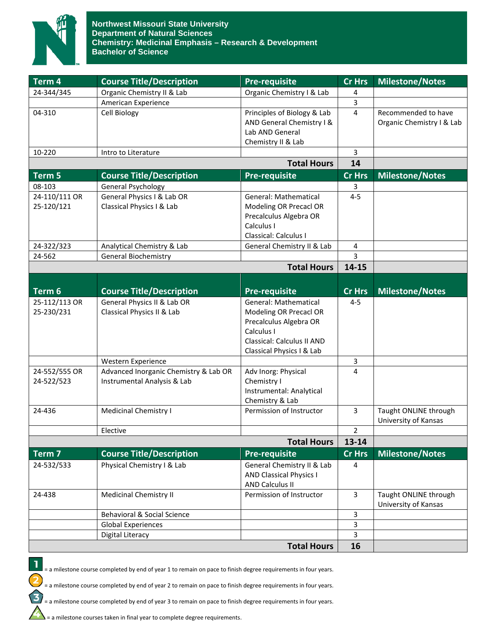

**Northwest Missouri State University Department of Natural Sciences Chemistry: Medicinal Emphasis – Research & Development Bachelor of Science** 

| Term 4            | <b>Course Title/Description</b>       | <b>Pre-requisite</b>           | <b>Cr Hrs</b> | <b>Milestone/Notes</b>    |
|-------------------|---------------------------------------|--------------------------------|---------------|---------------------------|
| 24-344/345        | Organic Chemistry II & Lab            | Organic Chemistry I & Lab      | 4             |                           |
|                   | American Experience                   |                                | 3             |                           |
| 04-310            | Cell Biology                          | Principles of Biology & Lab    | 4             | Recommended to have       |
|                   |                                       | AND General Chemistry I &      |               | Organic Chemistry I & Lab |
|                   |                                       | Lab AND General                |               |                           |
|                   |                                       | Chemistry II & Lab             |               |                           |
| 10-220            | Intro to Literature                   |                                | 3             |                           |
|                   |                                       | <b>Total Hours</b>             | 14            |                           |
| Term <sub>5</sub> | <b>Course Title/Description</b>       | Pre-requisite                  | <b>Cr Hrs</b> | <b>Milestone/Notes</b>    |
| 08-103            | <b>General Psychology</b>             |                                | 3             |                           |
| 24-110/111 OR     | General Physics I & Lab OR            | General: Mathematical          | $4 - 5$       |                           |
| 25-120/121        | Classical Physics I & Lab             | Modeling OR Precacl OR         |               |                           |
|                   |                                       | Precalculus Algebra OR         |               |                           |
|                   |                                       | Calculus I                     |               |                           |
|                   |                                       | Classical: Calculus I          |               |                           |
| 24-322/323        | Analytical Chemistry & Lab            | General Chemistry II & Lab     | 4             |                           |
| 24-562            | <b>General Biochemistry</b>           |                                | 3             |                           |
|                   |                                       | <b>Total Hours</b>             | 14-15         |                           |
|                   |                                       |                                |               |                           |
| Term 6            | <b>Course Title/Description</b>       | <b>Pre-requisite</b>           | <b>Cr Hrs</b> | <b>Milestone/Notes</b>    |
| 25-112/113 OR     | General Physics II & Lab OR           | <b>General: Mathematical</b>   | $4 - 5$       |                           |
| 25-230/231        | Classical Physics II & Lab            | Modeling OR Precacl OR         |               |                           |
|                   |                                       | Precalculus Algebra OR         |               |                           |
|                   |                                       | Calculus I                     |               |                           |
|                   |                                       | Classical: Calculus II AND     |               |                           |
|                   |                                       | Classical Physics I & Lab      |               |                           |
|                   | Western Experience                    |                                | 3             |                           |
| 24-552/555 OR     | Advanced Inorganic Chemistry & Lab OR | Adv Inorg: Physical            | 4             |                           |
| 24-522/523        | Instrumental Analysis & Lab           | Chemistry I                    |               |                           |
|                   |                                       | Instrumental: Analytical       |               |                           |
|                   |                                       | Chemistry & Lab                |               |                           |
| 24-436            | <b>Medicinal Chemistry I</b>          | Permission of Instructor       | 3             | Taught ONLINE through     |
|                   |                                       |                                |               | University of Kansas      |
|                   | Elective                              |                                | 2             |                           |
|                   |                                       | <b>Total Hours</b>             | 13-14         |                           |
| Term 7            | <b>Course Title/Description</b>       | Pre-requisite                  | <b>Cr Hrs</b> | <b>Milestone/Notes</b>    |
| 24-532/533        | Physical Chemistry I & Lab            | General Chemistry II & Lab     | 4             |                           |
|                   |                                       | <b>AND Classical Physics I</b> |               |                           |
|                   |                                       | <b>AND Calculus II</b>         |               |                           |
| 24-438            | Medicinal Chemistry II                | Permission of Instructor       | 3             | Taught ONLINE through     |
|                   |                                       |                                |               | University of Kansas      |
|                   | Behavioral & Social Science           |                                | 3             |                           |
|                   | <b>Global Experiences</b>             |                                | 3             |                           |
|                   | Digital Literacy                      | <b>Total Hours</b>             | 3             |                           |
|                   |                                       | 16                             |               |                           |



= a milestone course completed by end of year 1 to remain on pace to finish degree requirements in four years.

= a milestone course completed by end of year 2 to remain on pace to finish degree requirements in four years.

= a milestone course completed by end of year 3 to remain on pace to finish degree requirements in four years.

= a milestone courses taken in final year to complete degree requirements.